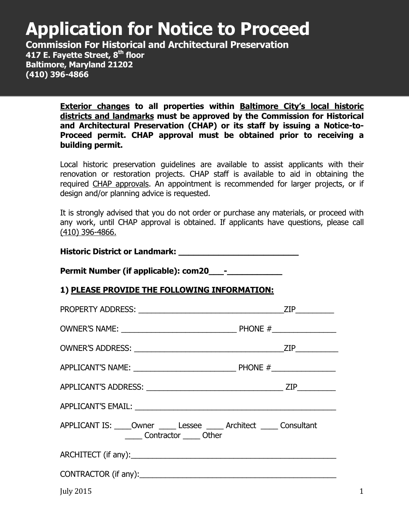# **Application for Notice to Proceed**

**Commission For Historical and Architectural Preservation 417 E. Fayette Street, 8th floor Baltimore, Maryland 21202 (410) 396-4866**

> **Exterior changes to all properties within Baltimore City's local historic districts and landmarks must be approved by the Commission for Historical and Architectural Preservation (CHAP) or its staff by issuing a Notice-to-Proceed permit. CHAP approval must be obtained prior to receiving a building permit.**

> Local historic preservation guidelines are available to assist applicants with their renovation or restoration projects. CHAP staff is available to aid in obtaining the required CHAP approvals. An appointment is recommended for larger projects, or if design and/or planning advice is requested.

> It is strongly advised that you do not order or purchase any materials, or proceed with any work, until CHAP approval is obtained. If applicants have questions, please call (410) 396-4866.

**Historic District or Landmark: \_\_\_\_\_\_\_\_\_\_\_\_\_\_\_\_\_\_\_\_\_\_\_\_** 

**Permit Number (if applicable): com20 --**

## **1) PLEASE PROVIDE THE FOLLOWING INFORMATION:**

| APPLICANT IS: _____Owner ______ Lessee ______ Architect ______ Consultant<br>Contractor Other |  |
|-----------------------------------------------------------------------------------------------|--|
|                                                                                               |  |
|                                                                                               |  |
| <b>July 2015</b>                                                                              |  |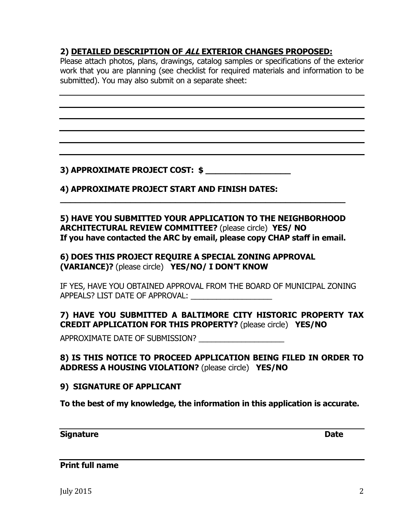## **2) DETAILED DESCRIPTION OF ALL EXTERIOR CHANGES PROPOSED:**

Please attach photos, plans, drawings, catalog samples or specifications of the exterior work that you are planning (see checklist for required materials and information to be submitted). You may also submit on a separate sheet:

#### **3) APPROXIMATE PROJECT COST: \$**

#### **4) APPROXIMATE PROJECT START AND FINISH DATES:**

#### **5) HAVE YOU SUBMITTED YOUR APPLICATION TO THE NEIGHBORHOOD ARCHITECTURAL REVIEW COMMITTEE?** (please circle) **YES/ NO If you have contacted the ARC by email, please copy CHAP staff in email.**

**\_\_\_\_\_\_\_\_\_\_\_\_\_\_\_\_\_\_\_\_\_\_\_\_\_\_\_\_\_\_\_\_\_\_\_\_\_\_\_\_\_\_\_\_\_\_\_\_\_\_\_\_\_\_\_\_\_** 

#### **6) DOES THIS PROJECT REQUIRE A SPECIAL ZONING APPROVAL (VARIANCE)?** (please circle) **YES/NO/ I DON'T KNOW**

IF YES, HAVE YOU OBTAINED APPROVAL FROM THE BOARD OF MUNICIPAL ZONING APPEALS? LIST DATE OF APPROVAL:

#### **7) HAVE YOU SUBMITTED A BALTIMORE CITY HISTORIC PROPERTY TAX CREDIT APPLICATION FOR THIS PROPERTY?** (please circle) **YES/NO**

APPROXIMATE DATE OF SUBMISSION? \_\_\_\_\_\_\_\_\_\_\_\_\_\_\_\_\_\_\_\_

#### **8) IS THIS NOTICE TO PROCEED APPLICATION BEING FILED IN ORDER TO ADDRESS A HOUSING VIOLATION?** (please circle) **YES/NO**

#### **9) SIGNATURE OF APPLICANT**

**To the best of my knowledge, the information in this application is accurate.** 

#### **Signature Date Date Date**

**Print full name**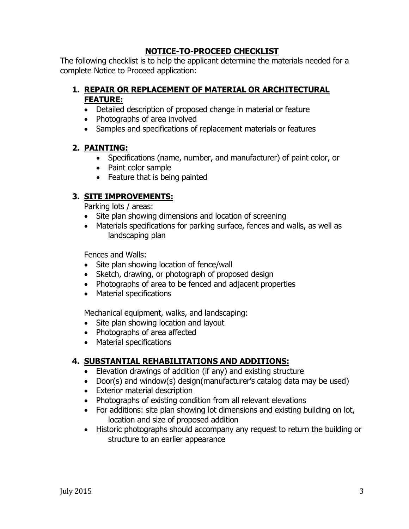#### **NOTICE-TO-PROCEED CHECKLIST**

The following checklist is to help the applicant determine the materials needed for a complete Notice to Proceed application:

## **1. REPAIR OR REPLACEMENT OF MATERIAL OR ARCHITECTURAL FEATURE:**

- Detailed description of proposed change in material or feature
- Photographs of area involved
- Samples and specifications of replacement materials or features

## **2. PAINTING:**

- Specifications (name, number, and manufacturer) of paint color, or
- Paint color sample
- Feature that is being painted

## **3. SITE IMPROVEMENTS:**

Parking lots / areas:

- Site plan showing dimensions and location of screening
- Materials specifications for parking surface, fences and walls, as well as landscaping plan

Fences and Walls:

- Site plan showing location of fence/wall
- Sketch, drawing, or photograph of proposed design
- Photographs of area to be fenced and adjacent properties
- Material specifications

Mechanical equipment, walks, and landscaping:

- Site plan showing location and layout
- Photographs of area affected
- Material specifications

## **4. SUBSTANTIAL REHABILITATIONS AND ADDITIONS:**

- Elevation drawings of addition (if any) and existing structure
- Door(s) and window(s) design(manufacturer's catalog data may be used)
- Exterior material description
- Photographs of existing condition from all relevant elevations
- For additions: site plan showing lot dimensions and existing building on lot, location and size of proposed addition
- Historic photographs should accompany any request to return the building or structure to an earlier appearance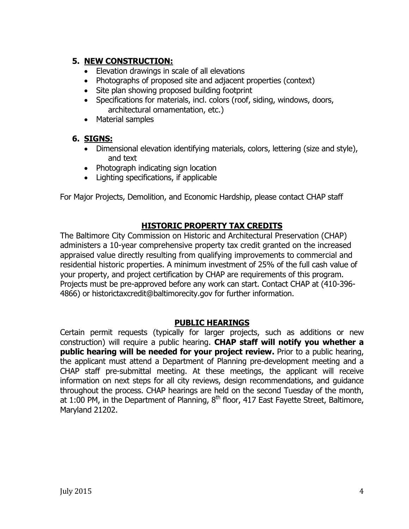### **5. NEW CONSTRUCTION:**

- Elevation drawings in scale of all elevations
- Photographs of proposed site and adjacent properties (context)
- Site plan showing proposed building footprint
- Specifications for materials, incl. colors (roof, siding, windows, doors, architectural ornamentation, etc.)
- Material samples

## **6. SIGNS:**

- Dimensional elevation identifying materials, colors, lettering (size and style), and text
- Photograph indicating sign location
- Lighting specifications, if applicable

For Major Projects, Demolition, and Economic Hardship, please contact CHAP staff

#### **HISTORIC PROPERTY TAX CREDITS**

The Baltimore City Commission on Historic and Architectural Preservation (CHAP) administers a 10-year comprehensive property tax credit granted on the increased appraised value directly resulting from qualifying improvements to commercial and residential historic properties. A minimum investment of 25% of the full cash value of your property, and project certification by CHAP are requirements of this program. Projects must be pre-approved before any work can start. Contact CHAP at (410-396- 4866) or historictaxcredit@baltimorecity.gov for further information.

#### **PUBLIC HEARINGS**

Certain permit requests (typically for larger projects, such as additions or new construction) will require a public hearing. **CHAP staff will notify you whether a public hearing will be needed for your project review.** Prior to a public hearing, the applicant must attend a Department of Planning pre-development meeting and a CHAP staff pre-submittal meeting. At these meetings, the applicant will receive information on next steps for all city reviews, design recommendations, and guidance throughout the process. CHAP hearings are held on the second Tuesday of the month, at 1:00 PM, in the Department of Planning,  $8<sup>th</sup>$  floor, 417 East Fayette Street, Baltimore, Maryland 21202.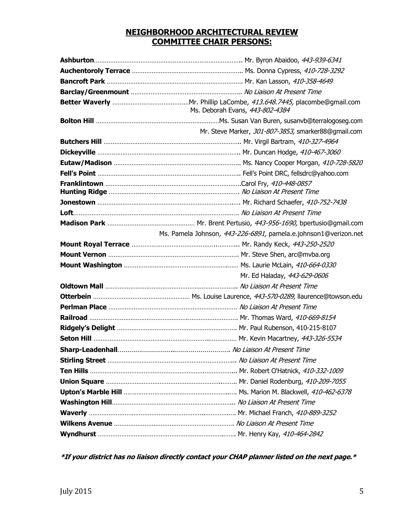#### **NEIGHBORHOOD ARCHITECTURAL REVIEW COMMITTEE CHAIR PERSONS:**

| Ms. Deborah Evans, 443-802-4384                                 |
|-----------------------------------------------------------------|
|                                                                 |
| Mr. Steve Marker, 301-807-3853, smarker88@gmail.com             |
|                                                                 |
|                                                                 |
|                                                                 |
|                                                                 |
|                                                                 |
|                                                                 |
|                                                                 |
|                                                                 |
| Ms. Pamela Johnson, 443-226-6891, pamela.e.johnson1@verizon.net |
|                                                                 |
|                                                                 |
|                                                                 |
| Mr. Ed Haladay, 443-629-0606                                    |
|                                                                 |
|                                                                 |
|                                                                 |
|                                                                 |
|                                                                 |
|                                                                 |
|                                                                 |
|                                                                 |
|                                                                 |
|                                                                 |
|                                                                 |
|                                                                 |
|                                                                 |
|                                                                 |
|                                                                 |

**\*If your district has no liaison directly contact your CHAP planner listed on the next page.\***